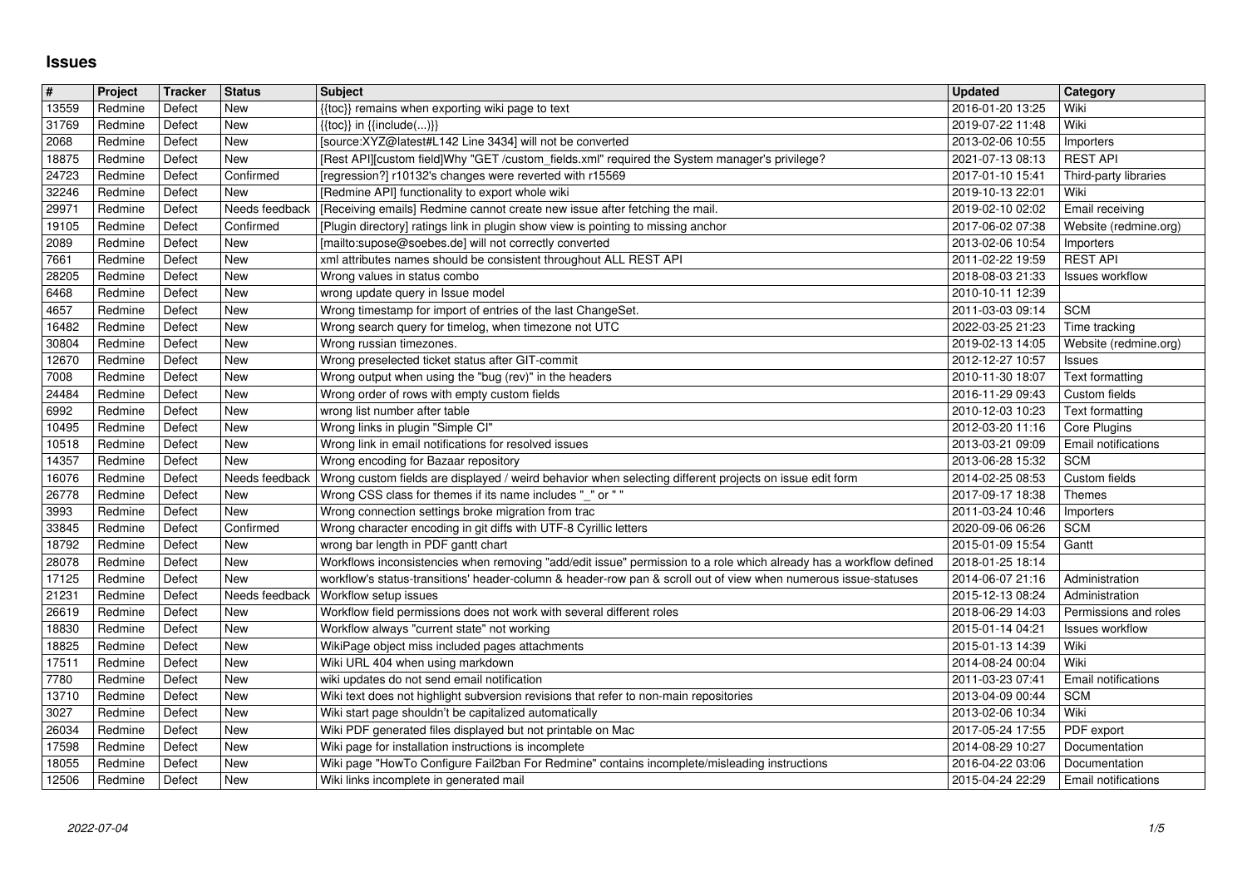## **Issues**

| New<br>{{toc}} in {{include()}}<br>2019-07-22 11:48<br>Wiki<br>Redmine<br>Defect<br>[source:XYZ@latest#L142 Line 3434] will not be converted<br>New<br>2013-02-06 10:55<br>Redmine<br>Defect<br>Importers<br>[Rest API][custom field]Why "GET /custom_fields.xml" required the System manager's privilege?<br><b>REST API</b><br>18875<br><b>New</b><br>2021-07-13 08:13<br>Redmine<br>Defect<br>Confirmed<br>[regression?] r10132's changes were reverted with r15569<br>2017-01-10 15:41<br>Redmine<br>Defect<br>Third-party libraries<br>[Redmine API] functionality to export whole wiki<br>Redmine<br>New<br>2019-10-13 22:01<br>Wiki<br>Defect<br>[Receiving emails] Redmine cannot create new issue after fetching the mail.<br>Needs feedback<br>2019-02-10 02:02<br>Email receiving<br>29971<br>Redmine<br>Defect<br>Confirmed<br>[Plugin directory] ratings link in plugin show view is pointing to missing anchor<br>Redmine<br>Defect<br>2017-06-02 07:38<br>Website (redmine.org)<br>New<br>[mailto:supose@soebes.de] will not correctly converted<br>Redmine<br>Defect<br>2013-02-06 10:54<br>Importers<br><b>REST API</b><br>7661<br>New<br>xml attributes names should be consistent throughout ALL REST API<br>2011-02-22 19:59<br>Redmine<br>Defect<br>Redmine<br>New<br>Wrong values in status combo<br>2018-08-03 21:33<br>Defect<br><b>Issues workflow</b><br>6468<br>New<br>wrong update query in Issue model<br>Redmine<br>Defect<br>2010-10-11 12:39<br>Wrong timestamp for import of entries of the last ChangeSet.<br><b>SCM</b><br>New<br>2011-03-03 09:14<br>Redmine<br>Defect<br>New<br>Wrong search query for timelog, when timezone not UTC<br>2022-03-25 21:23<br>Redmine<br>Defect<br>Time tracking<br>30804<br>New<br>Wrong russian timezones.<br>2019-02-13 14:05<br>Website (redmine.org)<br>Redmine<br>Defect<br>Wrong preselected ticket status after GIT-commit<br>Redmine<br>New<br>2012-12-27 10:57<br>Defect<br>Issues<br>New<br>Wrong output when using the "bug (rev)" in the headers<br>Redmine<br>Defect<br>2010-11-30 18:07<br><b>Text formatting</b><br>Defect<br>New<br>Wrong order of rows with empty custom fields<br>24484<br>Redmine<br>2016-11-29 09:43<br>Custom fields<br>New<br>wrong list number after table<br>2010-12-03 10:23<br>Redmine<br>Defect<br>Text formatting<br>Wrong links in plugin "Simple CI"<br>10495<br>Redmine<br>Defect<br><b>New</b><br>2012-03-20 11:16<br>Core Plugins<br>Wrong link in email notifications for resolved issues<br>New<br>2013-03-21 09:09<br>Email notifications<br>Redmine<br>Defect<br><b>SCM</b><br>Defect<br>New<br>Wrong encoding for Bazaar repository<br>2013-06-28 15:32<br>Redmine<br>16076<br>Needs feedback<br>Wrong custom fields are displayed / weird behavior when selecting different projects on issue edit form<br>2014-02-25 08:53<br>Redmine<br>Defect<br>Custom fields<br>Wrong CSS class for themes if its name includes "_" or ""<br>New<br>2017-09-17 18:38<br>Redmine<br>Defect<br>Themes<br>New<br>Wrong connection settings broke migration from trac<br>Redmine<br>Defect<br>2011-03-24 10:46<br>Importers<br><b>SCM</b><br>33845<br>Confirmed<br>Wrong character encoding in git diffs with UTF-8 Cyrillic letters<br>Redmine<br>Defect<br>2020-09-06 06:26<br>Defect<br>New<br>wrong bar length in PDF gantt chart<br>Redmine<br>2015-01-09 15:54<br>Gantt<br>New<br>Workflows inconsistencies when removing "add/edit issue" permission to a role which already has a workflow defined<br>Redmine<br>Defect<br>2018-01-25 18:14<br>17125<br>Redmine<br>Defect<br>New<br>workflow's status-transitions' header-column & header-row pan & scroll out of view when numerous issue-statuses<br>2014-06-07 21:16<br>Administration<br>Needs feedback<br><b>Workflow setup issues</b><br>2015-12-13 08:24<br>Redmine<br>Defect<br>Administration<br>26619<br>Defect<br>New<br>Workflow field permissions does not work with several different roles<br>2018-06-29 14:03<br>Permissions and roles<br>Redmine<br>New<br>Workflow always "current state" not working<br>Redmine<br>Defect<br>2015-01-14 04:21<br><b>Issues workflow</b><br>New<br>WikiPage object miss included pages attachments<br>2015-01-13 14:39<br>Redmine<br>Defect<br>Wiki<br>Wiki URL 404 when using markdown<br>17511<br>Redmine<br>Defect<br>New<br>2014-08-24 00:04<br>Wiki<br>New<br>wiki updates do not send email notification<br>Redmine<br>Defect<br>2011-03-23 07:41<br>Email notifications<br>Redmine<br>New<br>Wiki text does not highlight subversion revisions that refer to non-main repositories<br><b>SCM</b><br>Defect<br>2013-04-09 00:44<br>New<br>Wiki start page shouldn't be capitalized automatically<br>Wiki<br>3027<br>Redmine<br>Defect<br>2013-02-06 10:34<br>Wiki PDF generated files displayed but not printable on Mac<br>26034<br>Redmine<br>Defect<br><b>New</b><br>2017-05-24 17:55<br>PDF export<br>17598<br>Redmine<br>Defect<br>New<br>Wiki page for installation instructions is incomplete<br>2016-04-22 03:06<br>Redmine<br>Defect<br>New<br>Wiki page "HowTo Configure Fail2ban For Redmine" contains incomplete/misleading instructions<br>Documentation<br>Wiki links incomplete in generated mail<br>12506<br>2015-04-24 22:29<br>Redmine<br>Defect<br>New<br>Email notifications<br>1/5<br>2022-07-04 | #<br>13559 | Project<br>Redmine | Tracker<br>Defect | <b>Status</b><br>New | <b>Subject</b>                                   | <b>Updated</b><br>2016-01-20 13:25 | Category<br>Wiki |
|----------------------------------------------------------------------------------------------------------------------------------------------------------------------------------------------------------------------------------------------------------------------------------------------------------------------------------------------------------------------------------------------------------------------------------------------------------------------------------------------------------------------------------------------------------------------------------------------------------------------------------------------------------------------------------------------------------------------------------------------------------------------------------------------------------------------------------------------------------------------------------------------------------------------------------------------------------------------------------------------------------------------------------------------------------------------------------------------------------------------------------------------------------------------------------------------------------------------------------------------------------------------------------------------------------------------------------------------------------------------------------------------------------------------------------------------------------------------------------------------------------------------------------------------------------------------------------------------------------------------------------------------------------------------------------------------------------------------------------------------------------------------------------------------------------------------------------------------------------------------------------------------------------------------------------------------------------------------------------------------------------------------------------------------------------------------------------------------------------------------------------------------------------------------------------------------------------------------------------------------------------------------------------------------------------------------------------------------------------------------------------------------------------------------------------------------------------------------------------------------------------------------------------------------------------------------------------------------------------------------------------------------------------------------------------------------------------------------------------------------------------------------------------------------------------------------------------------------------------------------------------------------------------------------------------------------------------------------------------------------------------------------------------------------------------------------------------------------------------------------------------------------------------------------------------------------------------------------------------------------------------------------------------------------------------------------------------------------------------------------------------------------------------------------------------------------------------------------------------------------------------------------------------------------------------------------------------------------------------------------------------------------------------------------------------------------------------------------------------------------------------------------------------------------------------------------------------------------------------------------------------------------------------------------------------------------------------------------------------------------------------------------------------------------------------------------------------------------------------------------------------------------------------------------------------------------------------------------------------------------------------------------------------------------------------------------------------------------------------------------------------------------------------------------------------------------------------------------------------------------------------------------------------------------------------------------------------------------------------------------------------------------------------------------------------------------------------------------------------------------------------------------------------------------------------------------------------------------------------------------------------------------------------------------------------------------------------------------------------------------------------------------------------------------------------------------------------------------------------------------------------------------------------------------------------------------------------------------------------------------------------------------------------------------------------------------------------------------------|------------|--------------------|-------------------|----------------------|--------------------------------------------------|------------------------------------|------------------|
|                                                                                                                                                                                                                                                                                                                                                                                                                                                                                                                                                                                                                                                                                                                                                                                                                                                                                                                                                                                                                                                                                                                                                                                                                                                                                                                                                                                                                                                                                                                                                                                                                                                                                                                                                                                                                                                                                                                                                                                                                                                                                                                                                                                                                                                                                                                                                                                                                                                                                                                                                                                                                                                                                                                                                                                                                                                                                                                                                                                                                                                                                                                                                                                                                                                                                                                                                                                                                                                                                                                                                                                                                                                                                                                                                                                                                                                                                                                                                                                                                                                                                                                                                                                                                                                                                                                                                                                                                                                                                                                                                                                                                                                                                                                                                                                                                                                                                                                                                                                                                                                                                                                                                                                                                                                                                                                                                    | 31769      |                    |                   |                      | {{toc}} remains when exporting wiki page to text |                                    |                  |
|                                                                                                                                                                                                                                                                                                                                                                                                                                                                                                                                                                                                                                                                                                                                                                                                                                                                                                                                                                                                                                                                                                                                                                                                                                                                                                                                                                                                                                                                                                                                                                                                                                                                                                                                                                                                                                                                                                                                                                                                                                                                                                                                                                                                                                                                                                                                                                                                                                                                                                                                                                                                                                                                                                                                                                                                                                                                                                                                                                                                                                                                                                                                                                                                                                                                                                                                                                                                                                                                                                                                                                                                                                                                                                                                                                                                                                                                                                                                                                                                                                                                                                                                                                                                                                                                                                                                                                                                                                                                                                                                                                                                                                                                                                                                                                                                                                                                                                                                                                                                                                                                                                                                                                                                                                                                                                                                                    | 2068       |                    |                   |                      |                                                  |                                    |                  |
|                                                                                                                                                                                                                                                                                                                                                                                                                                                                                                                                                                                                                                                                                                                                                                                                                                                                                                                                                                                                                                                                                                                                                                                                                                                                                                                                                                                                                                                                                                                                                                                                                                                                                                                                                                                                                                                                                                                                                                                                                                                                                                                                                                                                                                                                                                                                                                                                                                                                                                                                                                                                                                                                                                                                                                                                                                                                                                                                                                                                                                                                                                                                                                                                                                                                                                                                                                                                                                                                                                                                                                                                                                                                                                                                                                                                                                                                                                                                                                                                                                                                                                                                                                                                                                                                                                                                                                                                                                                                                                                                                                                                                                                                                                                                                                                                                                                                                                                                                                                                                                                                                                                                                                                                                                                                                                                                                    | 24723      |                    |                   |                      |                                                  |                                    |                  |
|                                                                                                                                                                                                                                                                                                                                                                                                                                                                                                                                                                                                                                                                                                                                                                                                                                                                                                                                                                                                                                                                                                                                                                                                                                                                                                                                                                                                                                                                                                                                                                                                                                                                                                                                                                                                                                                                                                                                                                                                                                                                                                                                                                                                                                                                                                                                                                                                                                                                                                                                                                                                                                                                                                                                                                                                                                                                                                                                                                                                                                                                                                                                                                                                                                                                                                                                                                                                                                                                                                                                                                                                                                                                                                                                                                                                                                                                                                                                                                                                                                                                                                                                                                                                                                                                                                                                                                                                                                                                                                                                                                                                                                                                                                                                                                                                                                                                                                                                                                                                                                                                                                                                                                                                                                                                                                                                                    | 32246      |                    |                   |                      |                                                  |                                    |                  |
|                                                                                                                                                                                                                                                                                                                                                                                                                                                                                                                                                                                                                                                                                                                                                                                                                                                                                                                                                                                                                                                                                                                                                                                                                                                                                                                                                                                                                                                                                                                                                                                                                                                                                                                                                                                                                                                                                                                                                                                                                                                                                                                                                                                                                                                                                                                                                                                                                                                                                                                                                                                                                                                                                                                                                                                                                                                                                                                                                                                                                                                                                                                                                                                                                                                                                                                                                                                                                                                                                                                                                                                                                                                                                                                                                                                                                                                                                                                                                                                                                                                                                                                                                                                                                                                                                                                                                                                                                                                                                                                                                                                                                                                                                                                                                                                                                                                                                                                                                                                                                                                                                                                                                                                                                                                                                                                                                    | 19105      |                    |                   |                      |                                                  |                                    |                  |
|                                                                                                                                                                                                                                                                                                                                                                                                                                                                                                                                                                                                                                                                                                                                                                                                                                                                                                                                                                                                                                                                                                                                                                                                                                                                                                                                                                                                                                                                                                                                                                                                                                                                                                                                                                                                                                                                                                                                                                                                                                                                                                                                                                                                                                                                                                                                                                                                                                                                                                                                                                                                                                                                                                                                                                                                                                                                                                                                                                                                                                                                                                                                                                                                                                                                                                                                                                                                                                                                                                                                                                                                                                                                                                                                                                                                                                                                                                                                                                                                                                                                                                                                                                                                                                                                                                                                                                                                                                                                                                                                                                                                                                                                                                                                                                                                                                                                                                                                                                                                                                                                                                                                                                                                                                                                                                                                                    | 2089       |                    |                   |                      |                                                  |                                    |                  |
|                                                                                                                                                                                                                                                                                                                                                                                                                                                                                                                                                                                                                                                                                                                                                                                                                                                                                                                                                                                                                                                                                                                                                                                                                                                                                                                                                                                                                                                                                                                                                                                                                                                                                                                                                                                                                                                                                                                                                                                                                                                                                                                                                                                                                                                                                                                                                                                                                                                                                                                                                                                                                                                                                                                                                                                                                                                                                                                                                                                                                                                                                                                                                                                                                                                                                                                                                                                                                                                                                                                                                                                                                                                                                                                                                                                                                                                                                                                                                                                                                                                                                                                                                                                                                                                                                                                                                                                                                                                                                                                                                                                                                                                                                                                                                                                                                                                                                                                                                                                                                                                                                                                                                                                                                                                                                                                                                    | 28205      |                    |                   |                      |                                                  |                                    |                  |
|                                                                                                                                                                                                                                                                                                                                                                                                                                                                                                                                                                                                                                                                                                                                                                                                                                                                                                                                                                                                                                                                                                                                                                                                                                                                                                                                                                                                                                                                                                                                                                                                                                                                                                                                                                                                                                                                                                                                                                                                                                                                                                                                                                                                                                                                                                                                                                                                                                                                                                                                                                                                                                                                                                                                                                                                                                                                                                                                                                                                                                                                                                                                                                                                                                                                                                                                                                                                                                                                                                                                                                                                                                                                                                                                                                                                                                                                                                                                                                                                                                                                                                                                                                                                                                                                                                                                                                                                                                                                                                                                                                                                                                                                                                                                                                                                                                                                                                                                                                                                                                                                                                                                                                                                                                                                                                                                                    | 4657       |                    |                   |                      |                                                  |                                    |                  |
|                                                                                                                                                                                                                                                                                                                                                                                                                                                                                                                                                                                                                                                                                                                                                                                                                                                                                                                                                                                                                                                                                                                                                                                                                                                                                                                                                                                                                                                                                                                                                                                                                                                                                                                                                                                                                                                                                                                                                                                                                                                                                                                                                                                                                                                                                                                                                                                                                                                                                                                                                                                                                                                                                                                                                                                                                                                                                                                                                                                                                                                                                                                                                                                                                                                                                                                                                                                                                                                                                                                                                                                                                                                                                                                                                                                                                                                                                                                                                                                                                                                                                                                                                                                                                                                                                                                                                                                                                                                                                                                                                                                                                                                                                                                                                                                                                                                                                                                                                                                                                                                                                                                                                                                                                                                                                                                                                    | 16482      |                    |                   |                      |                                                  |                                    |                  |
|                                                                                                                                                                                                                                                                                                                                                                                                                                                                                                                                                                                                                                                                                                                                                                                                                                                                                                                                                                                                                                                                                                                                                                                                                                                                                                                                                                                                                                                                                                                                                                                                                                                                                                                                                                                                                                                                                                                                                                                                                                                                                                                                                                                                                                                                                                                                                                                                                                                                                                                                                                                                                                                                                                                                                                                                                                                                                                                                                                                                                                                                                                                                                                                                                                                                                                                                                                                                                                                                                                                                                                                                                                                                                                                                                                                                                                                                                                                                                                                                                                                                                                                                                                                                                                                                                                                                                                                                                                                                                                                                                                                                                                                                                                                                                                                                                                                                                                                                                                                                                                                                                                                                                                                                                                                                                                                                                    | 12670      |                    |                   |                      |                                                  |                                    |                  |
|                                                                                                                                                                                                                                                                                                                                                                                                                                                                                                                                                                                                                                                                                                                                                                                                                                                                                                                                                                                                                                                                                                                                                                                                                                                                                                                                                                                                                                                                                                                                                                                                                                                                                                                                                                                                                                                                                                                                                                                                                                                                                                                                                                                                                                                                                                                                                                                                                                                                                                                                                                                                                                                                                                                                                                                                                                                                                                                                                                                                                                                                                                                                                                                                                                                                                                                                                                                                                                                                                                                                                                                                                                                                                                                                                                                                                                                                                                                                                                                                                                                                                                                                                                                                                                                                                                                                                                                                                                                                                                                                                                                                                                                                                                                                                                                                                                                                                                                                                                                                                                                                                                                                                                                                                                                                                                                                                    | 7008       |                    |                   |                      |                                                  |                                    |                  |
|                                                                                                                                                                                                                                                                                                                                                                                                                                                                                                                                                                                                                                                                                                                                                                                                                                                                                                                                                                                                                                                                                                                                                                                                                                                                                                                                                                                                                                                                                                                                                                                                                                                                                                                                                                                                                                                                                                                                                                                                                                                                                                                                                                                                                                                                                                                                                                                                                                                                                                                                                                                                                                                                                                                                                                                                                                                                                                                                                                                                                                                                                                                                                                                                                                                                                                                                                                                                                                                                                                                                                                                                                                                                                                                                                                                                                                                                                                                                                                                                                                                                                                                                                                                                                                                                                                                                                                                                                                                                                                                                                                                                                                                                                                                                                                                                                                                                                                                                                                                                                                                                                                                                                                                                                                                                                                                                                    | 6992       |                    |                   |                      |                                                  |                                    |                  |
|                                                                                                                                                                                                                                                                                                                                                                                                                                                                                                                                                                                                                                                                                                                                                                                                                                                                                                                                                                                                                                                                                                                                                                                                                                                                                                                                                                                                                                                                                                                                                                                                                                                                                                                                                                                                                                                                                                                                                                                                                                                                                                                                                                                                                                                                                                                                                                                                                                                                                                                                                                                                                                                                                                                                                                                                                                                                                                                                                                                                                                                                                                                                                                                                                                                                                                                                                                                                                                                                                                                                                                                                                                                                                                                                                                                                                                                                                                                                                                                                                                                                                                                                                                                                                                                                                                                                                                                                                                                                                                                                                                                                                                                                                                                                                                                                                                                                                                                                                                                                                                                                                                                                                                                                                                                                                                                                                    | 10518      |                    |                   |                      |                                                  |                                    |                  |
|                                                                                                                                                                                                                                                                                                                                                                                                                                                                                                                                                                                                                                                                                                                                                                                                                                                                                                                                                                                                                                                                                                                                                                                                                                                                                                                                                                                                                                                                                                                                                                                                                                                                                                                                                                                                                                                                                                                                                                                                                                                                                                                                                                                                                                                                                                                                                                                                                                                                                                                                                                                                                                                                                                                                                                                                                                                                                                                                                                                                                                                                                                                                                                                                                                                                                                                                                                                                                                                                                                                                                                                                                                                                                                                                                                                                                                                                                                                                                                                                                                                                                                                                                                                                                                                                                                                                                                                                                                                                                                                                                                                                                                                                                                                                                                                                                                                                                                                                                                                                                                                                                                                                                                                                                                                                                                                                                    | 14357      |                    |                   |                      |                                                  |                                    |                  |
|                                                                                                                                                                                                                                                                                                                                                                                                                                                                                                                                                                                                                                                                                                                                                                                                                                                                                                                                                                                                                                                                                                                                                                                                                                                                                                                                                                                                                                                                                                                                                                                                                                                                                                                                                                                                                                                                                                                                                                                                                                                                                                                                                                                                                                                                                                                                                                                                                                                                                                                                                                                                                                                                                                                                                                                                                                                                                                                                                                                                                                                                                                                                                                                                                                                                                                                                                                                                                                                                                                                                                                                                                                                                                                                                                                                                                                                                                                                                                                                                                                                                                                                                                                                                                                                                                                                                                                                                                                                                                                                                                                                                                                                                                                                                                                                                                                                                                                                                                                                                                                                                                                                                                                                                                                                                                                                                                    | 26778      |                    |                   |                      |                                                  |                                    |                  |
|                                                                                                                                                                                                                                                                                                                                                                                                                                                                                                                                                                                                                                                                                                                                                                                                                                                                                                                                                                                                                                                                                                                                                                                                                                                                                                                                                                                                                                                                                                                                                                                                                                                                                                                                                                                                                                                                                                                                                                                                                                                                                                                                                                                                                                                                                                                                                                                                                                                                                                                                                                                                                                                                                                                                                                                                                                                                                                                                                                                                                                                                                                                                                                                                                                                                                                                                                                                                                                                                                                                                                                                                                                                                                                                                                                                                                                                                                                                                                                                                                                                                                                                                                                                                                                                                                                                                                                                                                                                                                                                                                                                                                                                                                                                                                                                                                                                                                                                                                                                                                                                                                                                                                                                                                                                                                                                                                    | 3993       |                    |                   |                      |                                                  |                                    |                  |
|                                                                                                                                                                                                                                                                                                                                                                                                                                                                                                                                                                                                                                                                                                                                                                                                                                                                                                                                                                                                                                                                                                                                                                                                                                                                                                                                                                                                                                                                                                                                                                                                                                                                                                                                                                                                                                                                                                                                                                                                                                                                                                                                                                                                                                                                                                                                                                                                                                                                                                                                                                                                                                                                                                                                                                                                                                                                                                                                                                                                                                                                                                                                                                                                                                                                                                                                                                                                                                                                                                                                                                                                                                                                                                                                                                                                                                                                                                                                                                                                                                                                                                                                                                                                                                                                                                                                                                                                                                                                                                                                                                                                                                                                                                                                                                                                                                                                                                                                                                                                                                                                                                                                                                                                                                                                                                                                                    | 18792      |                    |                   |                      |                                                  |                                    |                  |
|                                                                                                                                                                                                                                                                                                                                                                                                                                                                                                                                                                                                                                                                                                                                                                                                                                                                                                                                                                                                                                                                                                                                                                                                                                                                                                                                                                                                                                                                                                                                                                                                                                                                                                                                                                                                                                                                                                                                                                                                                                                                                                                                                                                                                                                                                                                                                                                                                                                                                                                                                                                                                                                                                                                                                                                                                                                                                                                                                                                                                                                                                                                                                                                                                                                                                                                                                                                                                                                                                                                                                                                                                                                                                                                                                                                                                                                                                                                                                                                                                                                                                                                                                                                                                                                                                                                                                                                                                                                                                                                                                                                                                                                                                                                                                                                                                                                                                                                                                                                                                                                                                                                                                                                                                                                                                                                                                    | 28078      |                    |                   |                      |                                                  |                                    |                  |
|                                                                                                                                                                                                                                                                                                                                                                                                                                                                                                                                                                                                                                                                                                                                                                                                                                                                                                                                                                                                                                                                                                                                                                                                                                                                                                                                                                                                                                                                                                                                                                                                                                                                                                                                                                                                                                                                                                                                                                                                                                                                                                                                                                                                                                                                                                                                                                                                                                                                                                                                                                                                                                                                                                                                                                                                                                                                                                                                                                                                                                                                                                                                                                                                                                                                                                                                                                                                                                                                                                                                                                                                                                                                                                                                                                                                                                                                                                                                                                                                                                                                                                                                                                                                                                                                                                                                                                                                                                                                                                                                                                                                                                                                                                                                                                                                                                                                                                                                                                                                                                                                                                                                                                                                                                                                                                                                                    | 21231      |                    |                   |                      |                                                  |                                    |                  |
|                                                                                                                                                                                                                                                                                                                                                                                                                                                                                                                                                                                                                                                                                                                                                                                                                                                                                                                                                                                                                                                                                                                                                                                                                                                                                                                                                                                                                                                                                                                                                                                                                                                                                                                                                                                                                                                                                                                                                                                                                                                                                                                                                                                                                                                                                                                                                                                                                                                                                                                                                                                                                                                                                                                                                                                                                                                                                                                                                                                                                                                                                                                                                                                                                                                                                                                                                                                                                                                                                                                                                                                                                                                                                                                                                                                                                                                                                                                                                                                                                                                                                                                                                                                                                                                                                                                                                                                                                                                                                                                                                                                                                                                                                                                                                                                                                                                                                                                                                                                                                                                                                                                                                                                                                                                                                                                                                    | 18830      |                    |                   |                      |                                                  |                                    |                  |
|                                                                                                                                                                                                                                                                                                                                                                                                                                                                                                                                                                                                                                                                                                                                                                                                                                                                                                                                                                                                                                                                                                                                                                                                                                                                                                                                                                                                                                                                                                                                                                                                                                                                                                                                                                                                                                                                                                                                                                                                                                                                                                                                                                                                                                                                                                                                                                                                                                                                                                                                                                                                                                                                                                                                                                                                                                                                                                                                                                                                                                                                                                                                                                                                                                                                                                                                                                                                                                                                                                                                                                                                                                                                                                                                                                                                                                                                                                                                                                                                                                                                                                                                                                                                                                                                                                                                                                                                                                                                                                                                                                                                                                                                                                                                                                                                                                                                                                                                                                                                                                                                                                                                                                                                                                                                                                                                                    | 18825      |                    |                   |                      |                                                  |                                    |                  |
|                                                                                                                                                                                                                                                                                                                                                                                                                                                                                                                                                                                                                                                                                                                                                                                                                                                                                                                                                                                                                                                                                                                                                                                                                                                                                                                                                                                                                                                                                                                                                                                                                                                                                                                                                                                                                                                                                                                                                                                                                                                                                                                                                                                                                                                                                                                                                                                                                                                                                                                                                                                                                                                                                                                                                                                                                                                                                                                                                                                                                                                                                                                                                                                                                                                                                                                                                                                                                                                                                                                                                                                                                                                                                                                                                                                                                                                                                                                                                                                                                                                                                                                                                                                                                                                                                                                                                                                                                                                                                                                                                                                                                                                                                                                                                                                                                                                                                                                                                                                                                                                                                                                                                                                                                                                                                                                                                    | 7780       |                    |                   |                      |                                                  |                                    |                  |
|                                                                                                                                                                                                                                                                                                                                                                                                                                                                                                                                                                                                                                                                                                                                                                                                                                                                                                                                                                                                                                                                                                                                                                                                                                                                                                                                                                                                                                                                                                                                                                                                                                                                                                                                                                                                                                                                                                                                                                                                                                                                                                                                                                                                                                                                                                                                                                                                                                                                                                                                                                                                                                                                                                                                                                                                                                                                                                                                                                                                                                                                                                                                                                                                                                                                                                                                                                                                                                                                                                                                                                                                                                                                                                                                                                                                                                                                                                                                                                                                                                                                                                                                                                                                                                                                                                                                                                                                                                                                                                                                                                                                                                                                                                                                                                                                                                                                                                                                                                                                                                                                                                                                                                                                                                                                                                                                                    | 13710      |                    |                   |                      |                                                  |                                    |                  |
|                                                                                                                                                                                                                                                                                                                                                                                                                                                                                                                                                                                                                                                                                                                                                                                                                                                                                                                                                                                                                                                                                                                                                                                                                                                                                                                                                                                                                                                                                                                                                                                                                                                                                                                                                                                                                                                                                                                                                                                                                                                                                                                                                                                                                                                                                                                                                                                                                                                                                                                                                                                                                                                                                                                                                                                                                                                                                                                                                                                                                                                                                                                                                                                                                                                                                                                                                                                                                                                                                                                                                                                                                                                                                                                                                                                                                                                                                                                                                                                                                                                                                                                                                                                                                                                                                                                                                                                                                                                                                                                                                                                                                                                                                                                                                                                                                                                                                                                                                                                                                                                                                                                                                                                                                                                                                                                                                    |            |                    |                   |                      |                                                  |                                    |                  |
|                                                                                                                                                                                                                                                                                                                                                                                                                                                                                                                                                                                                                                                                                                                                                                                                                                                                                                                                                                                                                                                                                                                                                                                                                                                                                                                                                                                                                                                                                                                                                                                                                                                                                                                                                                                                                                                                                                                                                                                                                                                                                                                                                                                                                                                                                                                                                                                                                                                                                                                                                                                                                                                                                                                                                                                                                                                                                                                                                                                                                                                                                                                                                                                                                                                                                                                                                                                                                                                                                                                                                                                                                                                                                                                                                                                                                                                                                                                                                                                                                                                                                                                                                                                                                                                                                                                                                                                                                                                                                                                                                                                                                                                                                                                                                                                                                                                                                                                                                                                                                                                                                                                                                                                                                                                                                                                                                    | 18055      |                    |                   |                      |                                                  |                                    |                  |
|                                                                                                                                                                                                                                                                                                                                                                                                                                                                                                                                                                                                                                                                                                                                                                                                                                                                                                                                                                                                                                                                                                                                                                                                                                                                                                                                                                                                                                                                                                                                                                                                                                                                                                                                                                                                                                                                                                                                                                                                                                                                                                                                                                                                                                                                                                                                                                                                                                                                                                                                                                                                                                                                                                                                                                                                                                                                                                                                                                                                                                                                                                                                                                                                                                                                                                                                                                                                                                                                                                                                                                                                                                                                                                                                                                                                                                                                                                                                                                                                                                                                                                                                                                                                                                                                                                                                                                                                                                                                                                                                                                                                                                                                                                                                                                                                                                                                                                                                                                                                                                                                                                                                                                                                                                                                                                                                                    |            |                    |                   |                      |                                                  |                                    |                  |
|                                                                                                                                                                                                                                                                                                                                                                                                                                                                                                                                                                                                                                                                                                                                                                                                                                                                                                                                                                                                                                                                                                                                                                                                                                                                                                                                                                                                                                                                                                                                                                                                                                                                                                                                                                                                                                                                                                                                                                                                                                                                                                                                                                                                                                                                                                                                                                                                                                                                                                                                                                                                                                                                                                                                                                                                                                                                                                                                                                                                                                                                                                                                                                                                                                                                                                                                                                                                                                                                                                                                                                                                                                                                                                                                                                                                                                                                                                                                                                                                                                                                                                                                                                                                                                                                                                                                                                                                                                                                                                                                                                                                                                                                                                                                                                                                                                                                                                                                                                                                                                                                                                                                                                                                                                                                                                                                                    |            |                    |                   |                      |                                                  |                                    |                  |
|                                                                                                                                                                                                                                                                                                                                                                                                                                                                                                                                                                                                                                                                                                                                                                                                                                                                                                                                                                                                                                                                                                                                                                                                                                                                                                                                                                                                                                                                                                                                                                                                                                                                                                                                                                                                                                                                                                                                                                                                                                                                                                                                                                                                                                                                                                                                                                                                                                                                                                                                                                                                                                                                                                                                                                                                                                                                                                                                                                                                                                                                                                                                                                                                                                                                                                                                                                                                                                                                                                                                                                                                                                                                                                                                                                                                                                                                                                                                                                                                                                                                                                                                                                                                                                                                                                                                                                                                                                                                                                                                                                                                                                                                                                                                                                                                                                                                                                                                                                                                                                                                                                                                                                                                                                                                                                                                                    |            |                    |                   |                      |                                                  |                                    |                  |
|                                                                                                                                                                                                                                                                                                                                                                                                                                                                                                                                                                                                                                                                                                                                                                                                                                                                                                                                                                                                                                                                                                                                                                                                                                                                                                                                                                                                                                                                                                                                                                                                                                                                                                                                                                                                                                                                                                                                                                                                                                                                                                                                                                                                                                                                                                                                                                                                                                                                                                                                                                                                                                                                                                                                                                                                                                                                                                                                                                                                                                                                                                                                                                                                                                                                                                                                                                                                                                                                                                                                                                                                                                                                                                                                                                                                                                                                                                                                                                                                                                                                                                                                                                                                                                                                                                                                                                                                                                                                                                                                                                                                                                                                                                                                                                                                                                                                                                                                                                                                                                                                                                                                                                                                                                                                                                                                                    |            |                    |                   |                      |                                                  |                                    |                  |
|                                                                                                                                                                                                                                                                                                                                                                                                                                                                                                                                                                                                                                                                                                                                                                                                                                                                                                                                                                                                                                                                                                                                                                                                                                                                                                                                                                                                                                                                                                                                                                                                                                                                                                                                                                                                                                                                                                                                                                                                                                                                                                                                                                                                                                                                                                                                                                                                                                                                                                                                                                                                                                                                                                                                                                                                                                                                                                                                                                                                                                                                                                                                                                                                                                                                                                                                                                                                                                                                                                                                                                                                                                                                                                                                                                                                                                                                                                                                                                                                                                                                                                                                                                                                                                                                                                                                                                                                                                                                                                                                                                                                                                                                                                                                                                                                                                                                                                                                                                                                                                                                                                                                                                                                                                                                                                                                                    |            |                    |                   |                      |                                                  |                                    |                  |
|                                                                                                                                                                                                                                                                                                                                                                                                                                                                                                                                                                                                                                                                                                                                                                                                                                                                                                                                                                                                                                                                                                                                                                                                                                                                                                                                                                                                                                                                                                                                                                                                                                                                                                                                                                                                                                                                                                                                                                                                                                                                                                                                                                                                                                                                                                                                                                                                                                                                                                                                                                                                                                                                                                                                                                                                                                                                                                                                                                                                                                                                                                                                                                                                                                                                                                                                                                                                                                                                                                                                                                                                                                                                                                                                                                                                                                                                                                                                                                                                                                                                                                                                                                                                                                                                                                                                                                                                                                                                                                                                                                                                                                                                                                                                                                                                                                                                                                                                                                                                                                                                                                                                                                                                                                                                                                                                                    |            |                    |                   |                      |                                                  |                                    |                  |
|                                                                                                                                                                                                                                                                                                                                                                                                                                                                                                                                                                                                                                                                                                                                                                                                                                                                                                                                                                                                                                                                                                                                                                                                                                                                                                                                                                                                                                                                                                                                                                                                                                                                                                                                                                                                                                                                                                                                                                                                                                                                                                                                                                                                                                                                                                                                                                                                                                                                                                                                                                                                                                                                                                                                                                                                                                                                                                                                                                                                                                                                                                                                                                                                                                                                                                                                                                                                                                                                                                                                                                                                                                                                                                                                                                                                                                                                                                                                                                                                                                                                                                                                                                                                                                                                                                                                                                                                                                                                                                                                                                                                                                                                                                                                                                                                                                                                                                                                                                                                                                                                                                                                                                                                                                                                                                                                                    |            |                    |                   |                      |                                                  |                                    |                  |
|                                                                                                                                                                                                                                                                                                                                                                                                                                                                                                                                                                                                                                                                                                                                                                                                                                                                                                                                                                                                                                                                                                                                                                                                                                                                                                                                                                                                                                                                                                                                                                                                                                                                                                                                                                                                                                                                                                                                                                                                                                                                                                                                                                                                                                                                                                                                                                                                                                                                                                                                                                                                                                                                                                                                                                                                                                                                                                                                                                                                                                                                                                                                                                                                                                                                                                                                                                                                                                                                                                                                                                                                                                                                                                                                                                                                                                                                                                                                                                                                                                                                                                                                                                                                                                                                                                                                                                                                                                                                                                                                                                                                                                                                                                                                                                                                                                                                                                                                                                                                                                                                                                                                                                                                                                                                                                                                                    |            |                    |                   |                      |                                                  |                                    |                  |
|                                                                                                                                                                                                                                                                                                                                                                                                                                                                                                                                                                                                                                                                                                                                                                                                                                                                                                                                                                                                                                                                                                                                                                                                                                                                                                                                                                                                                                                                                                                                                                                                                                                                                                                                                                                                                                                                                                                                                                                                                                                                                                                                                                                                                                                                                                                                                                                                                                                                                                                                                                                                                                                                                                                                                                                                                                                                                                                                                                                                                                                                                                                                                                                                                                                                                                                                                                                                                                                                                                                                                                                                                                                                                                                                                                                                                                                                                                                                                                                                                                                                                                                                                                                                                                                                                                                                                                                                                                                                                                                                                                                                                                                                                                                                                                                                                                                                                                                                                                                                                                                                                                                                                                                                                                                                                                                                                    |            |                    |                   |                      |                                                  |                                    |                  |
|                                                                                                                                                                                                                                                                                                                                                                                                                                                                                                                                                                                                                                                                                                                                                                                                                                                                                                                                                                                                                                                                                                                                                                                                                                                                                                                                                                                                                                                                                                                                                                                                                                                                                                                                                                                                                                                                                                                                                                                                                                                                                                                                                                                                                                                                                                                                                                                                                                                                                                                                                                                                                                                                                                                                                                                                                                                                                                                                                                                                                                                                                                                                                                                                                                                                                                                                                                                                                                                                                                                                                                                                                                                                                                                                                                                                                                                                                                                                                                                                                                                                                                                                                                                                                                                                                                                                                                                                                                                                                                                                                                                                                                                                                                                                                                                                                                                                                                                                                                                                                                                                                                                                                                                                                                                                                                                                                    |            |                    |                   |                      |                                                  |                                    |                  |
|                                                                                                                                                                                                                                                                                                                                                                                                                                                                                                                                                                                                                                                                                                                                                                                                                                                                                                                                                                                                                                                                                                                                                                                                                                                                                                                                                                                                                                                                                                                                                                                                                                                                                                                                                                                                                                                                                                                                                                                                                                                                                                                                                                                                                                                                                                                                                                                                                                                                                                                                                                                                                                                                                                                                                                                                                                                                                                                                                                                                                                                                                                                                                                                                                                                                                                                                                                                                                                                                                                                                                                                                                                                                                                                                                                                                                                                                                                                                                                                                                                                                                                                                                                                                                                                                                                                                                                                                                                                                                                                                                                                                                                                                                                                                                                                                                                                                                                                                                                                                                                                                                                                                                                                                                                                                                                                                                    |            |                    |                   |                      |                                                  |                                    |                  |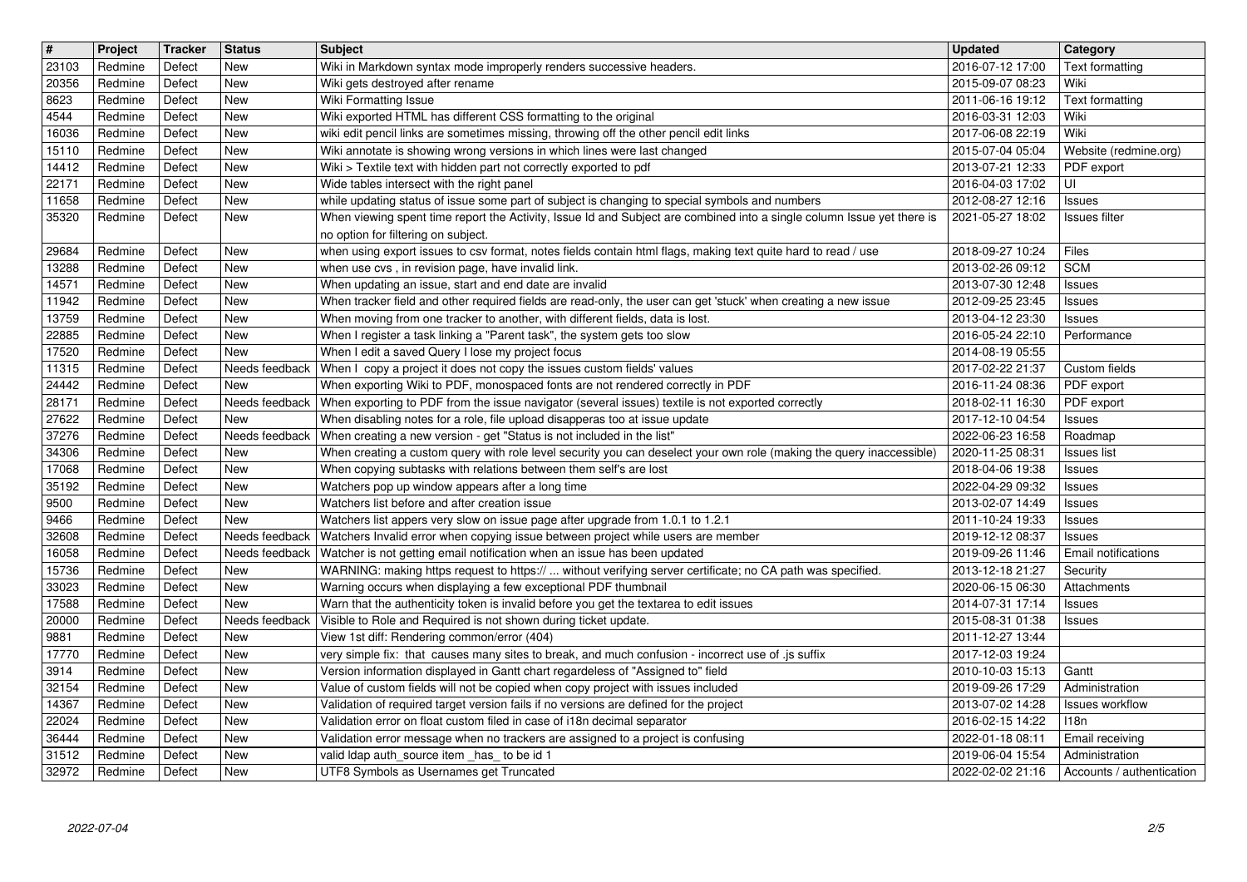| $\sqrt{\frac{4}{15}}$ | Project            | Tracker          | <b>Status</b>                | <b>Subject</b>                                                                                                                                                             | <b>Updated</b>                       | Category                                 |
|-----------------------|--------------------|------------------|------------------------------|----------------------------------------------------------------------------------------------------------------------------------------------------------------------------|--------------------------------------|------------------------------------------|
| 23103<br>20356        | Redmine<br>Redmine | Defect<br>Defect | New<br><b>New</b>            | Wiki in Markdown syntax mode improperly renders successive headers.<br>Wiki gets destroyed after rename                                                                    | 2016-07-12 17:00<br>2015-09-07 08:23 | Text formatting<br>Wiki                  |
| 8623                  | Redmine            | Defect           | <b>New</b>                   | Wiki Formatting Issue                                                                                                                                                      | 2011-06-16 19:12                     | Text formatting                          |
| 4544<br>16036         | Redmine<br>Redmine | Defect<br>Defect | New<br>New                   | Wiki exported HTML has different CSS formatting to the original<br>wiki edit pencil links are sometimes missing, throwing off the other pencil edit links                  | 2016-03-31 12:03<br>2017-06-08 22:19 | Wiki<br>Wiki                             |
| 15110                 | Redmine            | Defect           | New                          | Wiki annotate is showing wrong versions in which lines were last changed                                                                                                   | 2015-07-04 05:04                     | Website (redmine.org)                    |
| 14412<br>22171        | Redmine<br>Redmine | Defect<br>Defect | New<br>New                   | Wiki > Textile text with hidden part not correctly exported to pdf<br>Wide tables intersect with the right panel                                                           | 2013-07-21 12:33<br>2016-04-03 17:02 | PDF export<br>UI                         |
| 11658                 | Redmine            | Defect           | New                          | while updating status of issue some part of subject is changing to special symbols and numbers                                                                             | 2012-08-27 12:16                     | Issues                                   |
| 35320                 | Redmine            | Defect           | New                          | When viewing spent time report the Activity, Issue Id and Subject are combined into a single column Issue yet there is<br>no option for filtering on subject.              | 2021-05-27 18:02                     | Issues filter                            |
| 29684                 | Redmine            | Defect           | New                          | when using export issues to csv format, notes fields contain html flags, making text quite hard to read / use                                                              | 2018-09-27 10:24                     | Files                                    |
| 13288<br>14571        | Redmine<br>Redmine | Defect<br>Defect | New<br>New                   | when use cvs, in revision page, have invalid link.<br>When updating an issue, start and end date are invalid                                                               | 2013-02-26 09:12<br>2013-07-30 12:48 | <b>SCM</b><br>Issues                     |
| 11942                 | Redmine            | Defect           | New                          | When tracker field and other required fields are read-only, the user can get 'stuck' when creating a new issue                                                             | 2012-09-25 23:45                     | Issues                                   |
| 13759<br>22885        | Redmine<br>Redmine | Defect<br>Defect | New<br>New                   | When moving from one tracker to another, with different fields, data is lost.<br>When I register a task linking a "Parent task", the system gets too slow                  | 2013-04-12 23:30<br>2016-05-24 22:10 | Issues<br>Performance                    |
| 17520                 | Redmine            | Defect           | New                          | When I edit a saved Query I lose my project focus                                                                                                                          | 2014-08-19 05:55                     |                                          |
| 11315<br>24442        | Redmine<br>Redmine | Defect<br>Defect | Needs feedback<br><b>New</b> | When I copy a project it does not copy the issues custom fields' values<br>When exporting Wiki to PDF, monospaced fonts are not rendered correctly in PDF                  | 2017-02-22 21:37<br>2016-11-24 08:36 | Custom fields<br>PDF export              |
| 28171                 | Redmine            | Defect           |                              | Needs feedback   When exporting to PDF from the issue navigator (several issues) textile is not exported correctly                                                         | 2018-02-11 16:30                     | PDF export                               |
| 27622<br>37276        | Redmine<br>Redmine | Defect<br>Defect | <b>New</b><br>Needs feedback | When disabling notes for a role, file upload disapperas too at issue update<br>When creating a new version - get "Status is not included in the list"                      | 2017-12-10 04:54<br>2022-06-23 16:58 | <b>Issues</b><br>Roadmap                 |
| 34306                 | Redmine            | Defect           | New                          | When creating a custom query with role level security you can deselect your own role (making the query inaccessible)                                                       | 2020-11-25 08:31                     | <b>Issues</b> list                       |
| 17068<br>35192        | Redmine<br>Redmine | Defect<br>Defect | New<br>New                   | When copying subtasks with relations between them self's are lost<br>Watchers pop up window appears after a long time                                                      | 2018-04-06 19:38<br>2022-04-29 09:32 | Issues                                   |
| 9500                  | Redmine            | Defect           | New                          | Watchers list before and after creation issue                                                                                                                              | 2013-02-07 14:49                     | Issues<br>Issues                         |
| 9466                  | Redmine            | Defect<br>Defect | <b>New</b><br>Needs feedback | Watchers list appers very slow on issue page after upgrade from 1.0.1 to 1.2.1<br>Watchers Invalid error when copying issue between project while users are member         | 2011-10-24 19:33                     | Issues                                   |
| 32608<br>16058        | Redmine<br>Redmine | Defect           | Needs feedback               | Watcher is not getting email notification when an issue has been updated                                                                                                   | 2019-12-12 08:37<br>2019-09-26 11:46 | <b>Issues</b><br>Email notifications     |
| 15736                 | Redmine            | Defect           | New                          | WARNING: making https request to https://  without verifying server certificate; no CA path was specified.                                                                 | 2013-12-18 21:27                     | Security                                 |
| 33023<br>17588        | Redmine<br>Redmine | Defect<br>Defect | New<br>New                   | Warning occurs when displaying a few exceptional PDF thumbnail<br>Warn that the authenticity token is invalid before you get the textarea to edit issues                   | 2020-06-15 06:30<br>2014-07-31 17:14 | Attachments<br><b>Issues</b>             |
| 20000                 | Redmine            | Defect           | Needs feedback               | Visible to Role and Required is not shown during ticket update.                                                                                                            | 2015-08-31 01:38                     | Issues                                   |
| 9881<br>17770         | Redmine<br>Redmine | Defect<br>Defect | New<br>New                   | View 1st diff: Rendering common/error (404)<br>very simple fix: that causes many sites to break, and much confusion - incorrect use of .js suffix                          | 2011-12-27 13:44<br>2017-12-03 19:24 |                                          |
| 3914                  | Redmine            | Defect           | New                          | Version information displayed in Gantt chart regardeless of "Assigned to" field                                                                                            | 2010-10-03 15:13                     | Gantt                                    |
| 32154<br>14367        | Redmine<br>Redmine | Defect<br>Defect | <b>New</b><br>New            | Value of custom fields will not be copied when copy project with issues included<br>Validation of required target version fails if no versions are defined for the project | 2019-09-26 17:29<br>2013-07-02 14:28 | Administration<br><b>Issues workflow</b> |
| 22024                 | Redmine            | Defect           | New                          | Validation error on float custom filed in case of i18n decimal separator                                                                                                   | 2016-02-15 14:22                     | 118n                                     |
| 36444<br>31512        | Redmine<br>Redmine | Defect<br>Defect | New<br><b>New</b>            | Validation error message when no trackers are assigned to a project is confusing<br>valid Idap auth_source item _has_ to be id 1                                           | 2022-01-18 08:11<br>2019-06-04 15:54 | Email receiving<br>Administration        |
| 32972                 | Redmine            | Defect           | <b>New</b>                   | UTF8 Symbols as Usernames get Truncated                                                                                                                                    | 2022-02-02 21:16                     | Accounts / authentication                |
|                       | 2022-07-04         |                  |                              |                                                                                                                                                                            |                                      | 2/5                                      |
|                       |                    |                  |                              |                                                                                                                                                                            |                                      |                                          |
|                       |                    |                  |                              |                                                                                                                                                                            |                                      |                                          |
|                       |                    |                  |                              |                                                                                                                                                                            |                                      |                                          |
|                       |                    |                  |                              |                                                                                                                                                                            |                                      |                                          |
|                       |                    |                  |                              |                                                                                                                                                                            |                                      |                                          |
|                       |                    |                  |                              |                                                                                                                                                                            |                                      |                                          |
|                       |                    |                  |                              |                                                                                                                                                                            |                                      |                                          |
|                       |                    |                  |                              |                                                                                                                                                                            |                                      |                                          |
|                       |                    |                  |                              |                                                                                                                                                                            |                                      |                                          |
|                       |                    |                  |                              |                                                                                                                                                                            |                                      |                                          |
|                       |                    |                  |                              |                                                                                                                                                                            |                                      |                                          |
|                       |                    |                  |                              |                                                                                                                                                                            |                                      |                                          |
|                       |                    |                  |                              |                                                                                                                                                                            |                                      |                                          |
|                       |                    |                  |                              |                                                                                                                                                                            |                                      |                                          |
|                       |                    |                  |                              |                                                                                                                                                                            |                                      |                                          |
|                       |                    |                  |                              |                                                                                                                                                                            |                                      |                                          |
|                       |                    |                  |                              |                                                                                                                                                                            |                                      |                                          |
|                       |                    |                  |                              |                                                                                                                                                                            |                                      |                                          |
|                       |                    |                  |                              |                                                                                                                                                                            |                                      |                                          |
|                       |                    |                  |                              |                                                                                                                                                                            |                                      |                                          |
|                       |                    |                  |                              |                                                                                                                                                                            |                                      |                                          |
|                       |                    |                  |                              |                                                                                                                                                                            |                                      |                                          |
|                       |                    |                  |                              |                                                                                                                                                                            |                                      |                                          |
|                       |                    |                  |                              |                                                                                                                                                                            |                                      |                                          |
|                       |                    |                  |                              |                                                                                                                                                                            |                                      |                                          |
|                       |                    |                  |                              |                                                                                                                                                                            |                                      |                                          |
|                       |                    |                  |                              |                                                                                                                                                                            |                                      |                                          |
|                       |                    |                  |                              |                                                                                                                                                                            |                                      |                                          |
|                       |                    |                  |                              |                                                                                                                                                                            |                                      |                                          |
|                       |                    |                  |                              |                                                                                                                                                                            |                                      |                                          |
|                       |                    |                  |                              |                                                                                                                                                                            |                                      |                                          |
|                       |                    |                  |                              |                                                                                                                                                                            |                                      |                                          |
|                       |                    |                  |                              |                                                                                                                                                                            |                                      |                                          |
|                       |                    |                  |                              |                                                                                                                                                                            |                                      |                                          |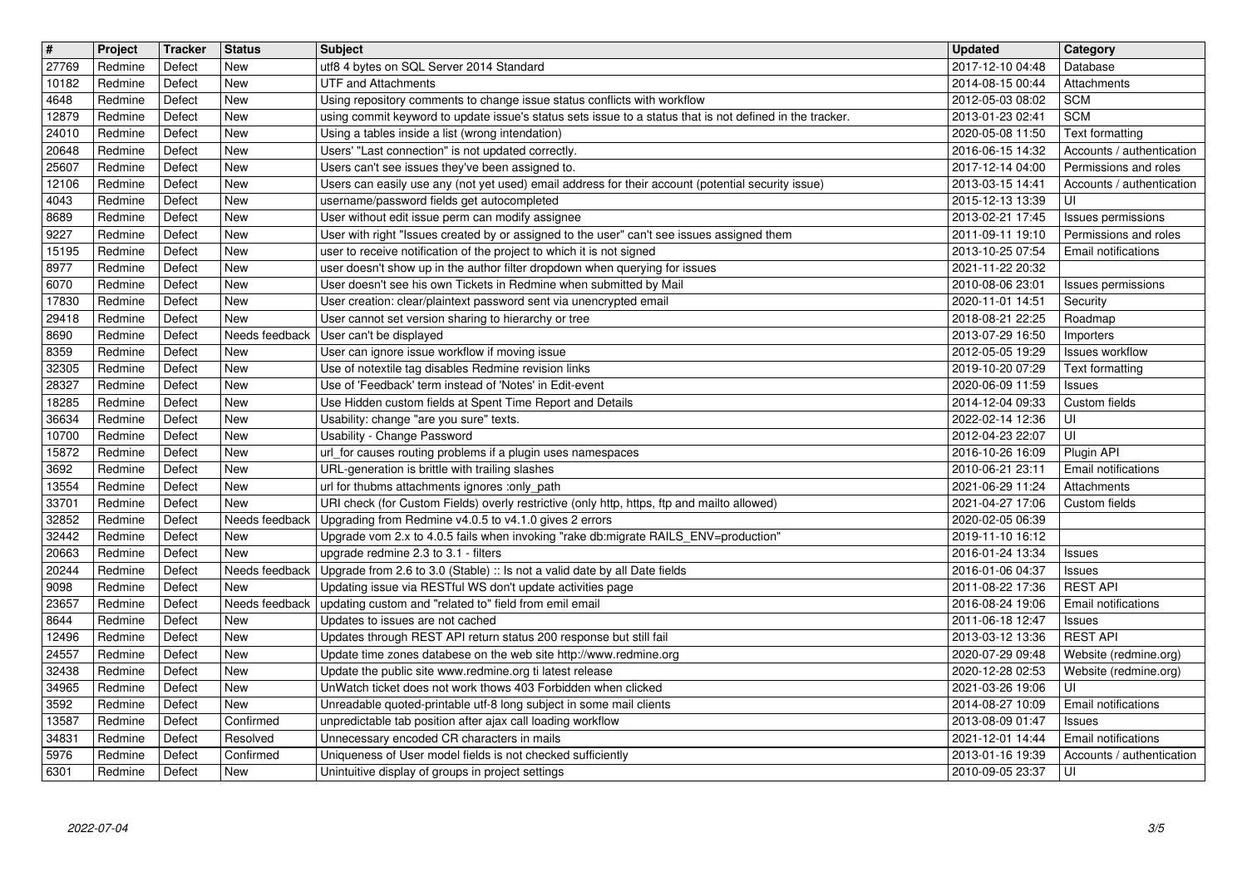| $\sqrt{\frac{4}{15}}$ | Project            | Tracker          | <b>Status</b>                | <b>Subject</b>                                                                                                                                                      | <b>Updated</b>                       | Category                                           |
|-----------------------|--------------------|------------------|------------------------------|---------------------------------------------------------------------------------------------------------------------------------------------------------------------|--------------------------------------|----------------------------------------------------|
| 27769<br>10182        | Redmine<br>Redmine | Defect<br>Defect | New<br><b>New</b>            | utf8 4 bytes on SQL Server 2014 Standard<br><b>UTF and Attachments</b>                                                                                              | 2017-12-10 04:48<br>2014-08-15 00:44 | Database<br>Attachments                            |
| 4648                  | Redmine            | Defect           | <b>New</b>                   | Using repository comments to change issue status conflicts with workflow                                                                                            | 2012-05-03 08:02                     | <b>SCM</b>                                         |
| 12879<br>24010        | Redmine<br>Redmine | Defect<br>Defect | <b>New</b><br><b>New</b>     | using commit keyword to update issue's status sets issue to a status that is not defined in the tracker.<br>Using a tables inside a list (wrong intendation)        | 2013-01-23 02:41<br>2020-05-08 11:50 | <b>SCM</b><br>Text formatting                      |
| 20648                 | Redmine            | Defect           | <b>New</b>                   | Users' "Last connection" is not updated correctly.                                                                                                                  | 2016-06-15 14:32                     | Accounts / authentication                          |
| 25607<br>12106        | Redmine<br>Redmine | Defect<br>Defect | New<br>New                   | Users can't see issues they've been assigned to.<br>Users can easily use any (not yet used) email address for their account (potential security issue)              | 2017-12-14 04:00<br>2013-03-15 14:41 | Permissions and roles<br>Accounts / authentication |
| 4043                  | Redmine            | Defect           | <b>New</b>                   | username/password fields get autocompleted                                                                                                                          | 2015-12-13 13:39                     | UI                                                 |
| 8689                  | Redmine            | Defect           | New<br><b>New</b>            | User without edit issue perm can modify assignee                                                                                                                    | 2013-02-21 17:45<br>2011-09-11 19:10 | Issues permissions<br>Permissions and roles        |
| 9227<br>15195         | Redmine<br>Redmine | Defect<br>Defect | New                          | User with right "Issues created by or assigned to the user" can't see issues assigned them<br>user to receive notification of the project to which it is not signed | 2013-10-25 07:54                     | <b>Email notifications</b>                         |
| 8977                  | Redmine            | Defect           | <b>New</b>                   | user doesn't show up in the author filter dropdown when querying for issues                                                                                         | 2021-11-22 20:32                     |                                                    |
| 6070<br>17830         | Redmine<br>Redmine | Defect<br>Defect | <b>New</b><br>New            | User doesn't see his own Tickets in Redmine when submitted by Mail<br>User creation: clear/plaintext password sent via unencrypted email                            | 2010-08-06 23:01<br>2020-11-01 14:51 | Issues permissions<br>Security                     |
| 29418                 | Redmine            | Defect           | <b>New</b>                   | User cannot set version sharing to hierarchy or tree                                                                                                                | 2018-08-21 22:25                     | Roadmap                                            |
| 8690<br>8359          | Redmine<br>Redmine | Defect<br>Defect | Needs feedback<br><b>New</b> | User can't be displayed<br>User can ignore issue workflow if moving issue                                                                                           | 2013-07-29 16:50<br>2012-05-05 19:29 | Importers<br>Issues workflow                       |
| 32305                 | Redmine            | Defect           | <b>New</b>                   | Use of notextile tag disables Redmine revision links                                                                                                                | 2019-10-20 07:29                     | Text formatting                                    |
| 28327<br>18285        | Redmine            | Defect           | <b>New</b>                   | Use of 'Feedback' term instead of 'Notes' in Edit-event                                                                                                             | 2020-06-09 11:59                     | <b>Issues</b>                                      |
| 36634                 | Redmine<br>Redmine | Defect<br>Defect | New<br><b>New</b>            | Use Hidden custom fields at Spent Time Report and Details<br>Usability: change "are you sure" texts.                                                                | 2014-12-04 09:33<br>2022-02-14 12:36 | Custom fields<br>UI                                |
| 10700                 | Redmine            | Defect           | <b>New</b>                   | Usability - Change Password                                                                                                                                         | 2012-04-23 22:07                     | UI                                                 |
| 15872<br>3692         | Redmine<br>Redmine | Defect<br>Defect | New<br>New                   | url_for causes routing problems if a plugin uses namespaces<br>URL-generation is brittle with trailing slashes                                                      | 2016-10-26 16:09<br>2010-06-21 23:11 | Plugin API<br><b>Email notifications</b>           |
| 13554                 | Redmine            | Defect           | New                          | url for thubms attachments ignores :only_path                                                                                                                       | 2021-06-29 11:24                     | Attachments                                        |
| 33701<br>32852        | Redmine<br>Redmine | Defect<br>Defect | <b>New</b><br>Needs feedback | URI check (for Custom Fields) overly restrictive (only http, https, ftp and mailto allowed)<br>Upgrading from Redmine v4.0.5 to v4.1.0 gives 2 errors               | 2021-04-27 17:06<br>2020-02-05 06:39 | Custom fields                                      |
| 32442                 | Redmine            | Defect           | New                          | Upgrade vom 2.x to 4.0.5 fails when invoking "rake db:migrate RAILS_ENV=production"                                                                                 | 2019-11-10 16:12                     |                                                    |
| 20663                 | Redmine            | Defect           | New                          | upgrade redmine 2.3 to 3.1 - filters                                                                                                                                | 2016-01-24 13:34                     | Issues                                             |
| 20244<br>9098         | Redmine<br>Redmine | Defect<br>Defect | Needs feedback<br><b>New</b> | Upgrade from 2.6 to 3.0 (Stable) :: Is not a valid date by all Date fields<br>Updating issue via RESTful WS don't update activities page                            | 2016-01-06 04:37<br>2011-08-22 17:36 | <b>Issues</b><br><b>REST API</b>                   |
| 23657                 | Redmine            | Defect           | Needs feedback               | updating custom and "related to" field from emil email                                                                                                              | 2016-08-24 19:06                     | Email notifications                                |
| 8644<br>12496         | Redmine<br>Redmine | Defect<br>Defect | <b>New</b><br>New            | Updates to issues are not cached<br>Updates through REST API return status 200 response but still fail                                                              | 2011-06-18 12:47<br>2013-03-12 13:36 | <b>Issues</b><br><b>REST API</b>                   |
| 24557                 | Redmine            | Defect           | <b>New</b>                   | Update time zones databese on the web site http://www.redmine.org                                                                                                   | 2020-07-29 09:48                     | Website (redmine.org)                              |
| 32438<br>34965        | Redmine<br>Redmine | Defect<br>Defect | <b>New</b><br>New            | Update the public site www.redmine.org ti latest release<br>UnWatch ticket does not work thows 403 Forbidden when clicked                                           | 2020-12-28 02:53<br>2021-03-26 19:06 | Website (redmine.org)<br>ΙUΙ                       |
| 3592                  | Redmine            | Defect           | New                          | Unreadable quoted-printable utf-8 long subject in some mail clients                                                                                                 | 2014-08-27 10:09                     | <b>Email notifications</b>                         |
| 13587                 | Redmine            | Defect           | Confirmed                    | unpredictable tab position after ajax call loading workflow                                                                                                         | 2013-08-09 01:47                     | <b>Issues</b>                                      |
| 34831<br>5976         | Redmine<br>Redmine | Defect<br>Defect | Resolved<br>Confirmed        | Unnecessary encoded CR characters in mails<br>Uniqueness of User model fields is not checked sufficiently                                                           | 2021-12-01 14:44<br>2013-01-16 19:39 | Email notifications<br>Accounts / authentication   |
| 6301                  | Redmine            | Defect           | New                          | Unintuitive display of groups in project settings                                                                                                                   | 2010-09-05 23:37                     | UI                                                 |
|                       |                    |                  |                              |                                                                                                                                                                     |                                      |                                                    |
|                       |                    |                  |                              |                                                                                                                                                                     |                                      |                                                    |
|                       |                    |                  |                              |                                                                                                                                                                     |                                      |                                                    |
|                       |                    |                  |                              |                                                                                                                                                                     |                                      |                                                    |
|                       |                    |                  |                              |                                                                                                                                                                     |                                      |                                                    |
|                       |                    |                  |                              |                                                                                                                                                                     |                                      |                                                    |
|                       |                    |                  |                              |                                                                                                                                                                     |                                      |                                                    |
|                       |                    |                  |                              |                                                                                                                                                                     |                                      |                                                    |
|                       |                    |                  |                              |                                                                                                                                                                     |                                      |                                                    |
|                       |                    |                  |                              |                                                                                                                                                                     |                                      |                                                    |
|                       |                    |                  |                              |                                                                                                                                                                     |                                      |                                                    |
|                       |                    |                  |                              |                                                                                                                                                                     |                                      |                                                    |
|                       |                    |                  |                              |                                                                                                                                                                     |                                      |                                                    |
|                       |                    |                  |                              |                                                                                                                                                                     |                                      |                                                    |
|                       |                    |                  |                              |                                                                                                                                                                     |                                      |                                                    |
|                       |                    |                  |                              |                                                                                                                                                                     |                                      |                                                    |
|                       |                    |                  |                              |                                                                                                                                                                     |                                      |                                                    |
|                       |                    |                  |                              |                                                                                                                                                                     |                                      |                                                    |
|                       |                    |                  |                              |                                                                                                                                                                     |                                      |                                                    |
|                       |                    |                  |                              |                                                                                                                                                                     |                                      |                                                    |
|                       |                    |                  |                              |                                                                                                                                                                     |                                      |                                                    |
|                       |                    |                  |                              |                                                                                                                                                                     |                                      |                                                    |
|                       |                    |                  |                              |                                                                                                                                                                     |                                      |                                                    |
|                       |                    |                  |                              |                                                                                                                                                                     |                                      |                                                    |
|                       |                    |                  |                              |                                                                                                                                                                     |                                      |                                                    |
|                       |                    |                  |                              |                                                                                                                                                                     |                                      |                                                    |
|                       |                    |                  |                              |                                                                                                                                                                     |                                      |                                                    |
|                       |                    |                  |                              |                                                                                                                                                                     |                                      |                                                    |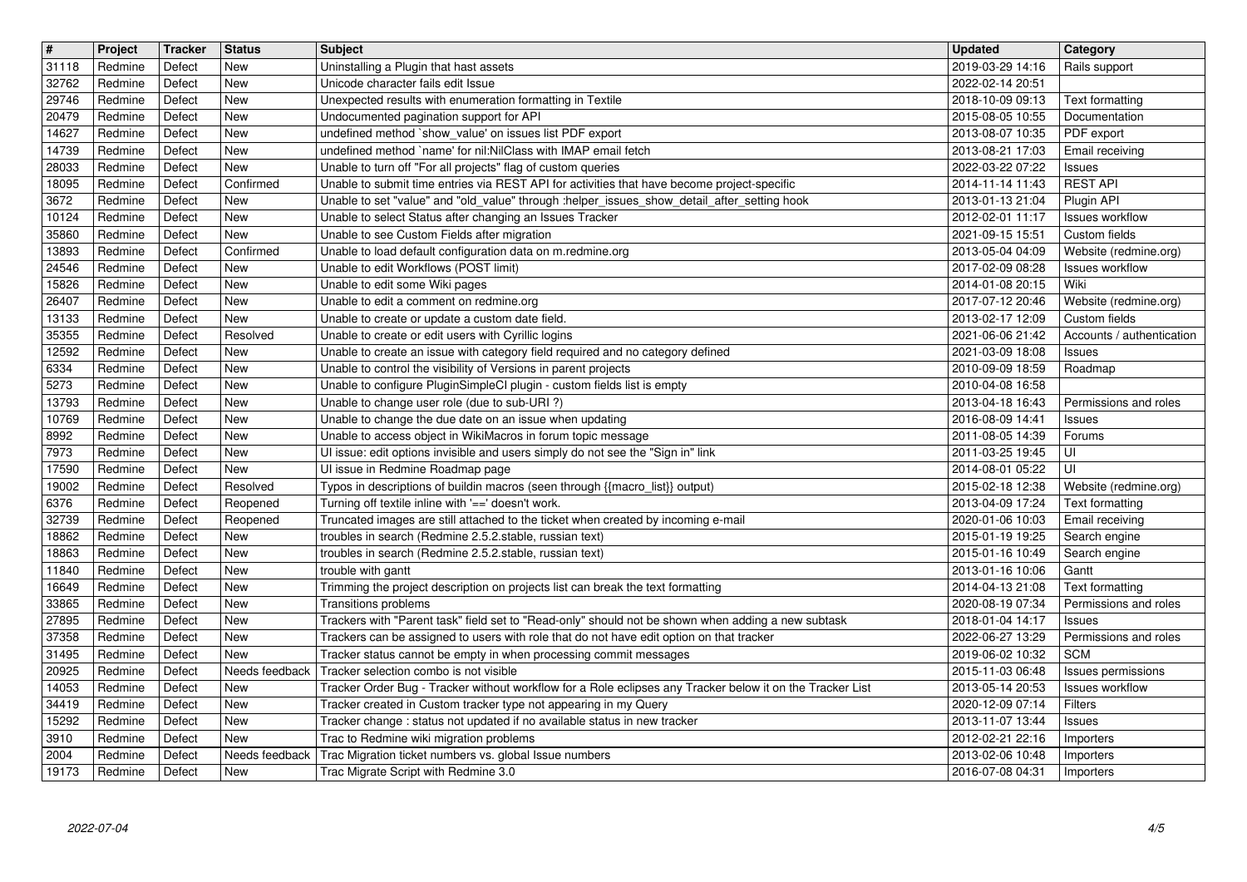| $\sqrt{\frac{4}{15}}$ | Project            | Tracker          | <b>Status</b>            | <b>Subject</b>                                                                                                                                                                | <b>Updated</b>                       | Category                                   |
|-----------------------|--------------------|------------------|--------------------------|-------------------------------------------------------------------------------------------------------------------------------------------------------------------------------|--------------------------------------|--------------------------------------------|
| 31118<br>32762        | Redmine<br>Redmine | Defect<br>Defect | New<br><b>New</b>        | Uninstalling a Plugin that hast assets<br>Unicode character fails edit Issue                                                                                                  | 2019-03-29 14:16<br>2022-02-14 20:51 | Rails support                              |
| 29746                 | Redmine            | Defect           | New                      | Unexpected results with enumeration formatting in Textile                                                                                                                     | 2018-10-09 09:13                     | Text formatting                            |
| 20479<br>14627        | Redmine<br>Redmine | Defect<br>Defect | <b>New</b><br>New        | Undocumented pagination support for API<br>undefined method `show_value' on issues list PDF export                                                                            | 2015-08-05 10:55<br>2013-08-07 10:35 | Documentation<br>PDF export                |
| 14739                 | Redmine            | Defect           | <b>New</b>               | undefined method `name' for nil:NilClass with IMAP email fetch                                                                                                                | 2013-08-21 17:03                     | Email receiving                            |
| 28033<br>18095        | Redmine<br>Redmine | Defect<br>Defect | <b>New</b><br>Confirmed  | Unable to turn off "For all projects" flag of custom queries<br>Unable to submit time entries via REST API for activities that have become project-specific                   | 2022-03-22 07:22<br>2014-11-14 11:43 | <b>Issues</b><br><b>REST API</b>           |
| 3672                  | Redmine            | Defect           | <b>New</b>               | Unable to set "value" and "old_value" through :helper_issues_show_detail_after_setting hook                                                                                   | 2013-01-13 21:04                     | Plugin API                                 |
| 10124<br>35860        | Redmine<br>Redmine | Defect<br>Defect | <b>New</b><br><b>New</b> | Unable to select Status after changing an Issues Tracker<br>Unable to see Custom Fields after migration                                                                       | 2012-02-01 11:17<br>2021-09-15 15:51 | <b>Issues workflow</b><br>Custom fields    |
| 13893                 | Redmine            | Defect           | Confirmed                | Unable to load default configuration data on m.redmine.org                                                                                                                    | 2013-05-04 04:09                     | Website (redmine.org)                      |
| 24546<br>15826        | Redmine<br>Redmine | Defect<br>Defect | <b>New</b><br>New        | Unable to edit Workflows (POST limit)<br>Unable to edit some Wiki pages                                                                                                       | 2017-02-09 08:28<br>2014-01-08 20:15 | <b>Issues workflow</b><br>Wiki             |
| 26407                 | Redmine            | Defect           | New                      | Unable to edit a comment on redmine.org                                                                                                                                       | 2017-07-12 20:46                     | Website (redmine.org)                      |
| 13133<br>35355        | Redmine<br>Redmine | Defect<br>Defect | New<br>Resolved          | Unable to create or update a custom date field.<br>Unable to create or edit users with Cyrillic logins                                                                        | 2013-02-17 12:09<br>2021-06-06 21:42 | Custom fields<br>Accounts / authentication |
| 12592                 | Redmine            | Defect           | <b>New</b>               | Unable to create an issue with category field required and no category defined                                                                                                | 2021-03-09 18:08                     | Issues                                     |
| 6334<br>5273          | Redmine<br>Redmine | Defect<br>Defect | <b>New</b><br><b>New</b> | Unable to control the visibility of Versions in parent projects<br>Unable to configure PluginSimpleCI plugin - custom fields list is empty                                    | 2010-09-09 18:59<br>2010-04-08 16:58 | Roadmap                                    |
| 13793                 | Redmine            | Defect           | New                      | Unable to change user role (due to sub-URI?)                                                                                                                                  | 2013-04-18 16:43                     | Permissions and roles                      |
| 10769<br>8992         | Redmine<br>Redmine | Defect<br>Defect | <b>New</b><br><b>New</b> | Unable to change the due date on an issue when updating<br>Unable to access object in WikiMacros in forum topic message                                                       | 2016-08-09 14:41<br>2011-08-05 14:39 | <b>Issues</b><br>Forums                    |
| 7973                  | Redmine            | Defect           | New                      | UI issue: edit options invisible and users simply do not see the "Sign in" link                                                                                               | 2011-03-25 19:45                     | UI                                         |
| 17590<br>19002        | Redmine            | Defect           | New<br>Resolved          | Ul issue in Redmine Roadmap page                                                                                                                                              | 2014-08-01 05:22                     | UI                                         |
| 6376                  | Redmine<br>Redmine | Defect<br>Defect | Reopened                 | Typos in descriptions of buildin macros (seen through {{macro_list}} output)<br>Turning off textile inline with '==' doesn't work.                                            | 2015-02-18 12:38<br>2013-04-09 17:24 | Website (redmine.org)<br>Text formatting   |
| 32739                 | Redmine            | Defect           | Reopened                 | Truncated images are still attached to the ticket when created by incoming e-mail                                                                                             | 2020-01-06 10:03                     | Email receiving                            |
| 18862<br>18863        | Redmine<br>Redmine | Defect<br>Defect | <b>New</b><br><b>New</b> | troubles in search (Redmine 2.5.2.stable, russian text)<br>troubles in search (Redmine 2.5.2.stable, russian text)                                                            | 2015-01-19 19:25<br>2015-01-16 10:49 | Search engine<br>Search engine             |
| 11840                 | Redmine            | Defect           | <b>New</b>               | trouble with gantt                                                                                                                                                            | 2013-01-16 10:06                     | Gantt                                      |
| 16649<br>33865        | Redmine<br>Redmine | Defect<br>Defect | <b>New</b><br>New        | Trimming the project description on projects list can break the text formatting<br>Transitions problems                                                                       | 2014-04-13 21:08<br>2020-08-19 07:34 | Text formatting<br>Permissions and roles   |
| 27895                 | Redmine            | Defect           | <b>New</b>               | Trackers with "Parent task" field set to "Read-only" should not be shown when adding a new subtask                                                                            | 2018-01-04 14:17                     | <b>Issues</b>                              |
| 37358<br>31495        | Redmine<br>Redmine | Defect<br>Defect | New<br>New               | Trackers can be assigned to users with role that do not have edit option on that tracker<br>Tracker status cannot be empty in when processing commit messages                 | 2022-06-27 13:29<br>2019-06-02 10:32 | Permissions and roles<br><b>SCM</b>        |
| 20925                 | Redmine            | Defect           | Needs feedback           | Tracker selection combo is not visible                                                                                                                                        | 2015-11-03 06:48                     | Issues permissions                         |
| 14053<br>$34419$      | Redmine<br>Redmine | Defect<br>Defect | New<br>New               | Tracker Order Bug - Tracker without workflow for a Role eclipses any Tracker below it on the Tracker List<br>Tracker created in Custom tracker type not appearing in my Query | 2013-05-14 20:53<br>2020-12-09 07:14 | <b>Issues workflow</b><br>Filters          |
| 15292                 | Redmine            | Defect           | <b>New</b>               | Tracker change : status not updated if no available status in new tracker                                                                                                     | 2013-11-07 13:44                     | <b>Issues</b>                              |
| 3910<br>2004          | Redmine<br>Redmine | Defect<br>Defect | New<br>Needs feedback    | Trac to Redmine wiki migration problems<br>Trac Migration ticket numbers vs. global Issue numbers                                                                             | 2012-02-21 22:16<br>2013-02-06 10:48 | Importers<br>Importers                     |
| 19173                 | Redmine            | Defect           | New                      | Trac Migrate Script with Redmine 3.0                                                                                                                                          | 2016-07-08 04:31                     | Importers                                  |
|                       |                    |                  |                          |                                                                                                                                                                               |                                      |                                            |
|                       |                    |                  |                          |                                                                                                                                                                               |                                      |                                            |
|                       |                    |                  |                          |                                                                                                                                                                               |                                      |                                            |
|                       |                    |                  |                          |                                                                                                                                                                               |                                      |                                            |
|                       |                    |                  |                          |                                                                                                                                                                               |                                      |                                            |
|                       |                    |                  |                          |                                                                                                                                                                               |                                      |                                            |
|                       |                    |                  |                          |                                                                                                                                                                               |                                      |                                            |
|                       |                    |                  |                          |                                                                                                                                                                               |                                      |                                            |
|                       |                    |                  |                          |                                                                                                                                                                               |                                      |                                            |
|                       |                    |                  |                          |                                                                                                                                                                               |                                      |                                            |
|                       |                    |                  |                          |                                                                                                                                                                               |                                      |                                            |
|                       |                    |                  |                          |                                                                                                                                                                               |                                      |                                            |
|                       |                    |                  |                          |                                                                                                                                                                               |                                      |                                            |
|                       |                    |                  |                          |                                                                                                                                                                               |                                      |                                            |
|                       |                    |                  |                          |                                                                                                                                                                               |                                      |                                            |
|                       |                    |                  |                          |                                                                                                                                                                               |                                      |                                            |
|                       |                    |                  |                          |                                                                                                                                                                               |                                      |                                            |
|                       |                    |                  |                          |                                                                                                                                                                               |                                      |                                            |
|                       |                    |                  |                          |                                                                                                                                                                               |                                      |                                            |
|                       |                    |                  |                          |                                                                                                                                                                               |                                      |                                            |
|                       |                    |                  |                          |                                                                                                                                                                               |                                      |                                            |
|                       |                    |                  |                          |                                                                                                                                                                               |                                      |                                            |
|                       |                    |                  |                          |                                                                                                                                                                               |                                      |                                            |
|                       |                    |                  |                          |                                                                                                                                                                               |                                      |                                            |
|                       |                    |                  |                          |                                                                                                                                                                               |                                      |                                            |
|                       |                    |                  |                          |                                                                                                                                                                               |                                      |                                            |
|                       |                    |                  |                          |                                                                                                                                                                               |                                      |                                            |
|                       |                    |                  |                          |                                                                                                                                                                               |                                      |                                            |
|                       |                    |                  |                          |                                                                                                                                                                               |                                      |                                            |
|                       |                    |                  |                          |                                                                                                                                                                               |                                      |                                            |
|                       |                    |                  |                          |                                                                                                                                                                               |                                      |                                            |
|                       |                    |                  |                          |                                                                                                                                                                               |                                      |                                            |
|                       |                    |                  |                          |                                                                                                                                                                               |                                      |                                            |
|                       |                    |                  |                          |                                                                                                                                                                               |                                      |                                            |
|                       |                    |                  |                          |                                                                                                                                                                               |                                      |                                            |